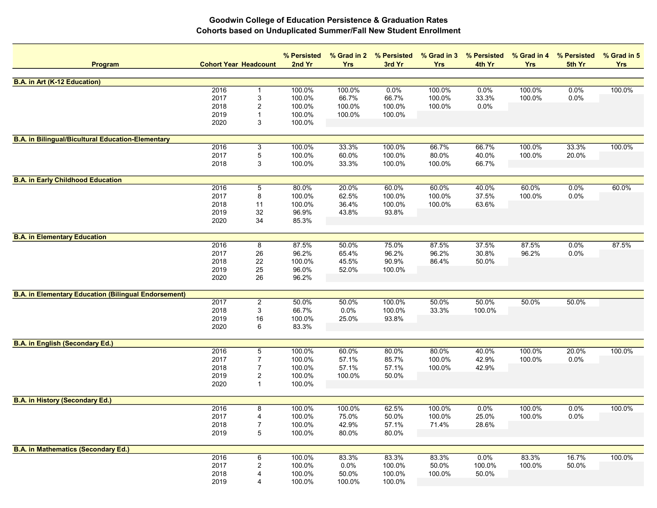| <b>Program</b>                                              | <b>Cohort Year Headcount</b> |                           | % Persisted<br>2nd Yr | % Grad in 2<br><b>Yrs</b> | % Persisted<br>3rd Yr | % Grad in 3<br><b>Yrs</b> | % Persisted<br>4th Yr | % Grad in 4<br><b>Yrs</b> | % Persisted<br>5th Yr | % Grad in 5<br><b>Yrs</b> |
|-------------------------------------------------------------|------------------------------|---------------------------|-----------------------|---------------------------|-----------------------|---------------------------|-----------------------|---------------------------|-----------------------|---------------------------|
| <b>B.A. in Art (K-12 Education)</b>                         |                              |                           |                       |                           |                       |                           |                       |                           |                       |                           |
|                                                             | 2016                         | -1                        | 100.0%                | 100.0%                    | 0.0%                  | 100.0%                    | 0.0%                  | 100.0%                    | 0.0%                  | 100.0%                    |
|                                                             | 2017                         | 3                         | 100.0%                | 66.7%                     | 66.7%                 | 100.0%                    | 33.3%                 | 100.0%                    | 0.0%                  |                           |
|                                                             | 2018                         | 2                         | 100.0%                | 100.0%                    | 100.0%                | 100.0%                    | 0.0%                  |                           |                       |                           |
|                                                             | 2019                         | $\mathbf 1$               | 100.0%                | 100.0%                    | 100.0%                |                           |                       |                           |                       |                           |
|                                                             | 2020                         | 3                         | 100.0%                |                           |                       |                           |                       |                           |                       |                           |
|                                                             |                              |                           |                       |                           |                       |                           |                       |                           |                       |                           |
| <b>B.A. in Bilingual/Bicultural Education-Elementary</b>    | 2016                         |                           |                       |                           |                       |                           |                       |                           |                       |                           |
|                                                             |                              | 3<br>5                    | 100.0%                | 33.3%<br>60.0%            | 100.0%<br>100.0%      | 66.7%                     | 66.7%                 | 100.0%<br>100.0%          | 33.3%                 | 100.0%                    |
|                                                             | 2017<br>2018                 | 3                         | 100.0%<br>100.0%      | 33.3%                     | 100.0%                | 80.0%<br>100.0%           | 40.0%<br>66.7%        |                           | 20.0%                 |                           |
|                                                             |                              |                           |                       |                           |                       |                           |                       |                           |                       |                           |
| <b>B.A. in Early Childhood Education</b>                    |                              |                           |                       |                           |                       |                           |                       |                           |                       |                           |
|                                                             | 2016                         | $\,$ 5 $\,$               | 80.0%                 | 20.0%                     | 60.0%                 | 60.0%                     | 40.0%                 | 60.0%                     | 0.0%                  | 60.0%                     |
|                                                             | 2017                         | 8                         | 100.0%                | 62.5%                     | 100.0%                | 100.0%                    | 37.5%                 | 100.0%                    | 0.0%                  |                           |
|                                                             | 2018                         | 11                        | 100.0%                | 36.4%                     | 100.0%                | 100.0%                    | 63.6%                 |                           |                       |                           |
|                                                             | 2019                         | 32                        | 96.9%                 | 43.8%                     | 93.8%                 |                           |                       |                           |                       |                           |
|                                                             | 2020                         | 34                        | 85.3%                 |                           |                       |                           |                       |                           |                       |                           |
| <b>B.A. in Elementary Education</b>                         |                              |                           |                       |                           |                       |                           |                       |                           |                       |                           |
|                                                             | 2016                         | 8                         | 87.5%                 | 50.0%                     | 75.0%                 | 87.5%                     | 37.5%                 | 87.5%                     | 0.0%                  | 87.5%                     |
|                                                             | 2017                         | 26                        | 96.2%                 | 65.4%                     | 96.2%                 | 96.2%                     | 30.8%                 | 96.2%                     | 0.0%                  |                           |
|                                                             | 2018                         | 22                        | 100.0%                | 45.5%                     | 90.9%                 | 86.4%                     | 50.0%                 |                           |                       |                           |
|                                                             | 2019                         | 25                        | 96.0%                 | 52.0%                     | 100.0%                |                           |                       |                           |                       |                           |
|                                                             | 2020                         | 26                        | 96.2%                 |                           |                       |                           |                       |                           |                       |                           |
| <b>B.A. in Elementary Education (Bilingual Endorsement)</b> |                              |                           |                       |                           |                       |                           |                       |                           |                       |                           |
|                                                             | 2017                         | $\overline{\mathbf{c}}$   | 50.0%                 | 50.0%                     | 100.0%                | 50.0%                     | 50.0%                 | 50.0%                     | 50.0%                 |                           |
|                                                             | 2018                         | $\ensuremath{\mathsf{3}}$ | 66.7%                 | 0.0%                      | 100.0%                | 33.3%                     | 100.0%                |                           |                       |                           |
|                                                             | 2019                         | 16                        | 100.0%                | 25.0%                     | 93.8%                 |                           |                       |                           |                       |                           |
|                                                             | 2020                         | 6                         | 83.3%                 |                           |                       |                           |                       |                           |                       |                           |
|                                                             |                              |                           |                       |                           |                       |                           |                       |                           |                       |                           |
| <b>B.A. in English (Secondary Ed.)</b>                      | 2016                         | $\overline{5}$            | 100.0%                | 60.0%                     | 80.0%                 | 80.0%                     | 40.0%                 | 100.0%                    | 20.0%                 | 100.0%                    |
|                                                             | 2017                         | $\overline{7}$            | 100.0%                | 57.1%                     | 85.7%                 | 100.0%                    | 42.9%                 | 100.0%                    | 0.0%                  |                           |
|                                                             | 2018                         | $\overline{7}$            | 100.0%                | 57.1%                     | 57.1%                 | 100.0%                    | 42.9%                 |                           |                       |                           |
|                                                             | 2019                         | $\overline{\mathbf{c}}$   | 100.0%                | 100.0%                    | 50.0%                 |                           |                       |                           |                       |                           |
|                                                             | 2020                         | $\mathbf{1}$              | 100.0%                |                           |                       |                           |                       |                           |                       |                           |
|                                                             |                              |                           |                       |                           |                       |                           |                       |                           |                       |                           |
| <b>B.A. in History (Secondary Ed.)</b>                      | 2016                         | 8                         | 100.0%                | 100.0%                    | 62.5%                 | 100.0%                    | 0.0%                  | 100.0%                    | 0.0%                  | 100.0%                    |
|                                                             | 2017                         | 4                         | 100.0%                | 75.0%                     | 50.0%                 | 100.0%                    | 25.0%                 | 100.0%                    | 0.0%                  |                           |
|                                                             | 2018                         | $\boldsymbol{7}$          | 100.0%                | 42.9%                     | 57.1%                 | 71.4%                     | 28.6%                 |                           |                       |                           |
|                                                             | 2019                         | $5\,$                     | 100.0%                | 80.0%                     | 80.0%                 |                           |                       |                           |                       |                           |
|                                                             |                              |                           |                       |                           |                       |                           |                       |                           |                       |                           |
| <b>B.A. in Mathematics (Secondary Ed.)</b>                  |                              |                           |                       |                           |                       |                           |                       |                           |                       |                           |
|                                                             | 2016                         | 6                         | 100.0%                | 83.3%                     | 83.3%                 | 83.3%                     | 0.0%                  | 83.3%                     | 16.7%                 | 100.0%                    |
|                                                             | 2017                         | 2                         | 100.0%                | 0.0%                      | 100.0%                | 50.0%                     | 100.0%                | 100.0%                    | 50.0%                 |                           |
|                                                             | 2018                         | 4                         | 100.0%                | 50.0%                     | 100.0%                | 100.0%                    | 50.0%                 |                           |                       |                           |
|                                                             | 2019                         | 4                         | 100.0%                | 100.0%                    | 100.0%                |                           |                       |                           |                       |                           |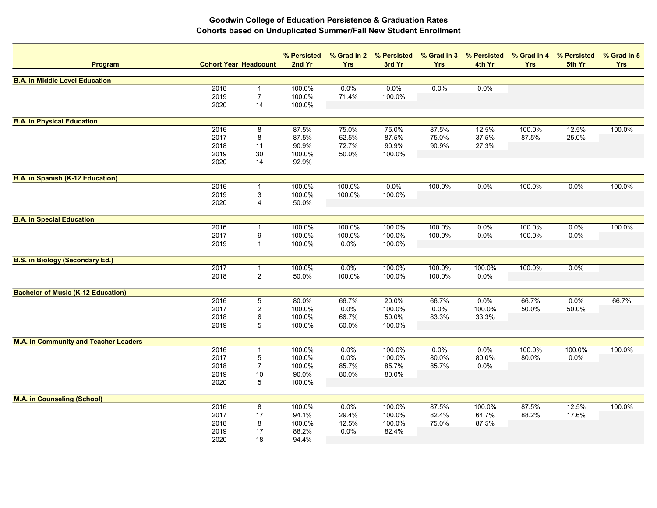| Program                                      | <b>Cohort Year Headcount</b> |                  | % Persisted<br>2nd Yr | % Grad in 2<br><b>Yrs</b> | % Persisted<br>3rd Yr | <b>Yrs</b> | % Grad in 3 % Persisted<br>4th Yr | <b>Yrs</b> | % Grad in 4 % Persisted<br>5th Yr | % Grad in 5<br><b>Yrs</b> |
|----------------------------------------------|------------------------------|------------------|-----------------------|---------------------------|-----------------------|------------|-----------------------------------|------------|-----------------------------------|---------------------------|
| <b>B.A. in Middle Level Education</b>        |                              |                  |                       |                           |                       |            |                                   |            |                                   |                           |
|                                              | 2018                         | $\mathbf{1}$     | 100.0%                | 0.0%                      | $0.0\%$               | 0.0%       | 0.0%                              |            |                                   |                           |
|                                              | 2019                         | $\boldsymbol{7}$ | 100.0%                | 71.4%                     | 100.0%                |            |                                   |            |                                   |                           |
|                                              | 2020                         | 14               | 100.0%                |                           |                       |            |                                   |            |                                   |                           |
| <b>B.A. in Physical Education</b>            |                              |                  |                       |                           |                       |            |                                   |            |                                   |                           |
|                                              | 2016                         | 8                | 87.5%                 | 75.0%                     | 75.0%                 | 87.5%      | 12.5%                             | 100.0%     | 12.5%                             | 100.0%                    |
|                                              | 2017                         | 8                | 87.5%                 | 62.5%                     | 87.5%                 | 75.0%      | 37.5%                             | 87.5%      | 25.0%                             |                           |
|                                              | 2018                         | 11               | 90.9%                 | 72.7%                     | 90.9%                 | 90.9%      | 27.3%                             |            |                                   |                           |
|                                              | 2019                         | 30               | 100.0%                | 50.0%                     | 100.0%                |            |                                   |            |                                   |                           |
|                                              | 2020                         | 14               | 92.9%                 |                           |                       |            |                                   |            |                                   |                           |
| <b>B.A. in Spanish (K-12 Education)</b>      |                              |                  |                       |                           |                       |            |                                   |            |                                   |                           |
|                                              | 2016                         | 1                | 100.0%                | 100.0%                    | 0.0%                  | 100.0%     | 0.0%                              | 100.0%     | 0.0%                              | 100.0%                    |
|                                              | 2019                         | 3                | 100.0%                | 100.0%                    | 100.0%                |            |                                   |            |                                   |                           |
|                                              | 2020                         | 4                | 50.0%                 |                           |                       |            |                                   |            |                                   |                           |
| <b>B.A. in Special Education</b>             |                              |                  |                       |                           |                       |            |                                   |            |                                   |                           |
|                                              | 2016                         |                  | 100.0%                | 100.0%                    | 100.0%                | 100.0%     | 0.0%                              | 100.0%     | 0.0%                              | 100.0%                    |
|                                              | 2017                         | 9                | 100.0%                | 100.0%                    | 100.0%                | 100.0%     | 0.0%                              | 100.0%     | 0.0%                              |                           |
|                                              | 2019                         | $\mathbf{1}$     | 100.0%                | 0.0%                      | 100.0%                |            |                                   |            |                                   |                           |
| <b>B.S. in Biology (Secondary Ed.)</b>       |                              |                  |                       |                           |                       |            |                                   |            |                                   |                           |
|                                              | 2017                         | $\mathbf{1}$     | 100.0%                | 0.0%                      | 100.0%                | 100.0%     | 100.0%                            | 100.0%     | 0.0%                              |                           |
|                                              | 2018                         | $\overline{2}$   | 50.0%                 | 100.0%                    | 100.0%                | 100.0%     | 0.0%                              |            |                                   |                           |
| <b>Bachelor of Music (K-12 Education)</b>    |                              |                  |                       |                           |                       |            |                                   |            |                                   |                           |
|                                              | 2016                         | $\overline{5}$   | 80.0%                 | 66.7%                     | 20.0%                 | 66.7%      | 0.0%                              | 66.7%      | 0.0%                              | 66.7%                     |
|                                              | 2017                         | 2                | 100.0%                | 0.0%                      | 100.0%                | 0.0%       | 100.0%                            | 50.0%      | 50.0%                             |                           |
|                                              | 2018                         | $\,6$            | 100.0%                | 66.7%                     | 50.0%                 | 83.3%      | 33.3%                             |            |                                   |                           |
|                                              | 2019                         | $\sqrt{5}$       | 100.0%                | 60.0%                     | 100.0%                |            |                                   |            |                                   |                           |
| <b>M.A. in Community and Teacher Leaders</b> |                              |                  |                       |                           |                       |            |                                   |            |                                   |                           |
|                                              | 2016                         | $\mathbf{1}$     | 100.0%                | 0.0%                      | 100.0%                | 0.0%       | 0.0%                              | 100.0%     | 100.0%                            | 100.0%                    |
|                                              | 2017                         | $\mathbf 5$      | 100.0%                | 0.0%                      | 100.0%                | 80.0%      | 80.0%                             | 80.0%      | 0.0%                              |                           |
|                                              | 2018                         | $\overline{7}$   | 100.0%                | 85.7%                     | 85.7%                 | 85.7%      | 0.0%                              |            |                                   |                           |
|                                              | 2019                         | $10$             | 90.0%                 | 80.0%                     | 80.0%                 |            |                                   |            |                                   |                           |
|                                              | 2020                         | $\sqrt{5}$       | 100.0%                |                           |                       |            |                                   |            |                                   |                           |
| <b>M.A. in Counseling (School)</b>           |                              |                  |                       |                           |                       |            |                                   |            |                                   |                           |
|                                              | 2016                         | $\overline{8}$   | 100.0%                | 0.0%                      | 100.0%                | 87.5%      | 100.0%                            | 87.5%      | 12.5%                             | 100.0%                    |
|                                              | 2017                         | 17               | 94.1%                 | 29.4%                     | 100.0%                | 82.4%      | 64.7%                             | 88.2%      | 17.6%                             |                           |
|                                              | 2018                         | 8                | 100.0%                | 12.5%                     | 100.0%                | 75.0%      | 87.5%                             |            |                                   |                           |
|                                              | 2019                         | 17               | 88.2%                 | 0.0%                      | 82.4%                 |            |                                   |            |                                   |                           |
|                                              | 2020                         | 18               | 94.4%                 |                           |                       |            |                                   |            |                                   |                           |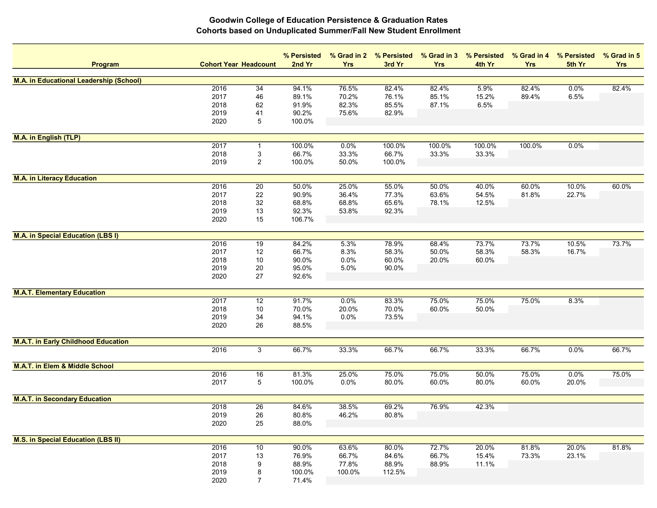| Program                                        | <b>Cohort Year Headcount</b> |                 | % Persisted<br>2nd Yr | % Grad in 2<br><b>Yrs</b> | % Persisted<br>3rd Yr | <b>Yrs</b> | % Grad in 3 % Persisted<br>4th Yr | % Grad in 4<br><b>Yrs</b> | % Persisted<br>5th Yr | % Grad in 5<br><b>Yrs</b> |
|------------------------------------------------|------------------------------|-----------------|-----------------------|---------------------------|-----------------------|------------|-----------------------------------|---------------------------|-----------------------|---------------------------|
| <b>M.A. in Educational Leadership (School)</b> |                              |                 |                       |                           |                       |            |                                   |                           |                       |                           |
|                                                | 2016                         | 34              | 94.1%                 | 76.5%                     | 82.4%                 | 82.4%      | 5.9%                              | 82.4%                     | 0.0%                  | 82.4%                     |
|                                                | 2017                         | 46              | 89.1%                 | 70.2%                     | 76.1%                 | 85.1%      | 15.2%                             | 89.4%                     | 6.5%                  |                           |
|                                                | 2018                         | 62              | 91.9%                 | 82.3%                     | 85.5%                 | 87.1%      | 6.5%                              |                           |                       |                           |
|                                                | 2019                         | 41              | 90.2%                 | 75.6%                     | 82.9%                 |            |                                   |                           |                       |                           |
|                                                | 2020                         | $\,$ 5 $\,$     | 100.0%                |                           |                       |            |                                   |                           |                       |                           |
| <b>M.A. in English (TLP)</b>                   |                              |                 |                       |                           |                       |            |                                   |                           |                       |                           |
|                                                | 2017                         |                 | 100.0%                | 0.0%                      | 100.0%                | 100.0%     | 100.0%                            | 100.0%                    | 0.0%                  |                           |
|                                                | 2018                         | 3               | 66.7%                 | 33.3%                     | 66.7%                 | 33.3%      | 33.3%                             |                           |                       |                           |
|                                                | 2019                         | $\overline{c}$  | 100.0%                | 50.0%                     | 100.0%                |            |                                   |                           |                       |                           |
|                                                |                              |                 |                       |                           |                       |            |                                   |                           |                       |                           |
| <b>M.A. in Literacy Education</b>              | 2016                         | 20              | 50.0%                 | 25.0%                     | 55.0%                 | 50.0%      | 40.0%                             | 60.0%                     | 10.0%                 | 60.0%                     |
|                                                | 2017                         | 22              | 90.9%                 | 36.4%                     | 77.3%                 | 63.6%      | 54.5%                             | 81.8%                     | 22.7%                 |                           |
|                                                | 2018                         | 32              | 68.8%                 | 68.8%                     | 65.6%                 | 78.1%      | 12.5%                             |                           |                       |                           |
|                                                | 2019                         | 13              | 92.3%                 | 53.8%                     | 92.3%                 |            |                                   |                           |                       |                           |
|                                                | 2020                         | 15              | 106.7%                |                           |                       |            |                                   |                           |                       |                           |
|                                                |                              |                 |                       |                           |                       |            |                                   |                           |                       |                           |
| <b>M.A. in Special Education (LBS I)</b>       | 2016                         | 19              | 84.2%                 | 5.3%                      | 78.9%                 | 68.4%      | 73.7%                             | 73.7%                     | 10.5%                 | 73.7%                     |
|                                                | 2017                         | 12              | 66.7%                 | 8.3%                      | 58.3%                 | 50.0%      | 58.3%                             | 58.3%                     | 16.7%                 |                           |
|                                                | 2018                         | $10$            | 90.0%                 | 0.0%                      | 60.0%                 | 20.0%      | 60.0%                             |                           |                       |                           |
|                                                | 2019                         | 20              | 95.0%                 | 5.0%                      | 90.0%                 |            |                                   |                           |                       |                           |
|                                                | 2020                         | 27              | 92.6%                 |                           |                       |            |                                   |                           |                       |                           |
|                                                |                              |                 |                       |                           |                       |            |                                   |                           |                       |                           |
| <b>M.A.T. Elementary Education</b>             | 2017                         | $\overline{12}$ | 91.7%                 | 0.0%                      | 83.3%                 | 75.0%      | 75.0%                             | 75.0%                     | 8.3%                  |                           |
|                                                | 2018                         | 10              | 70.0%                 | 20.0%                     | 70.0%                 | 60.0%      | 50.0%                             |                           |                       |                           |
|                                                | 2019                         | 34              | 94.1%                 | 0.0%                      | 73.5%                 |            |                                   |                           |                       |                           |
|                                                | 2020                         | 26              | 88.5%                 |                           |                       |            |                                   |                           |                       |                           |
|                                                |                              |                 |                       |                           |                       |            |                                   |                           |                       |                           |
| <b>M.A.T. in Early Childhood Education</b>     | 2016                         | 3               | 66.7%                 | 33.3%                     | 66.7%                 | 66.7%      | 33.3%                             | 66.7%                     | 0.0%                  | 66.7%                     |
|                                                |                              |                 |                       |                           |                       |            |                                   |                           |                       |                           |
| <b>M.A.T. in Elem &amp; Middle School</b>      |                              |                 |                       |                           |                       |            |                                   |                           |                       |                           |
|                                                | 2016                         | 16              | 81.3%                 | 25.0%                     | 75.0%                 | 75.0%      | 50.0%                             | 75.0%                     | 0.0%                  | 75.0%                     |
|                                                | 2017                         | $\,$ 5 $\,$     | 100.0%                | 0.0%                      | 80.0%                 | 60.0%      | 80.0%                             | 60.0%                     | 20.0%                 |                           |
| <b>M.A.T. in Secondary Education</b>           |                              |                 |                       |                           |                       |            |                                   |                           |                       |                           |
|                                                | 2018                         | $\overline{26}$ | 84.6%                 | 38.5%                     | 69.2%                 | 76.9%      | 42.3%                             |                           |                       |                           |
|                                                | 2019                         | 26              | 80.8%                 | 46.2%                     | 80.8%                 |            |                                   |                           |                       |                           |
|                                                | 2020                         | 25              | 88.0%                 |                           |                       |            |                                   |                           |                       |                           |
| <b>M.S. in Special Education (LBS II)</b>      |                              |                 |                       |                           |                       |            |                                   |                           |                       |                           |
|                                                | 2016                         | 10              | 90.0%                 | 63.6%                     | 80.0%                 | 72.7%      | 20.0%                             | 81.8%                     | 20.0%                 | 81.8%                     |
|                                                | 2017                         | 13              | 76.9%                 | 66.7%                     | 84.6%                 | 66.7%      | 15.4%                             | 73.3%                     | 23.1%                 |                           |
|                                                | 2018                         | 9               | 88.9%                 | 77.8%                     | 88.9%                 | 88.9%      | 11.1%                             |                           |                       |                           |
|                                                | 2019                         | 8               | 100.0%                | 100.0%                    | 112.5%                |            |                                   |                           |                       |                           |
|                                                | 2020                         | $\overline{7}$  | 71.4%                 |                           |                       |            |                                   |                           |                       |                           |